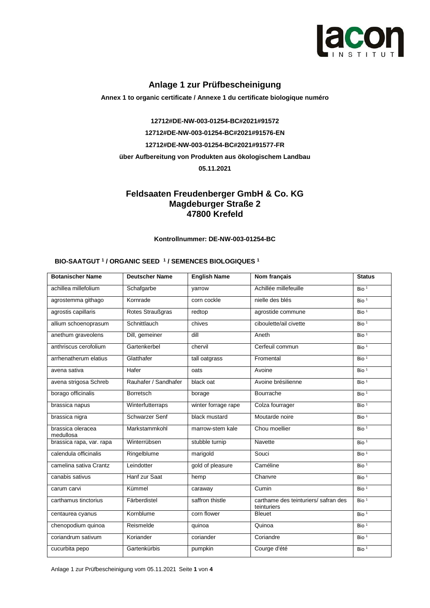

### **Anlage 1 zur Prüfbescheinigung**

**Annex 1 to organic certificate / Annexe 1 du certificate biologique numéro**

**12712#DE-NW-003-01254-BC#2021#91572 12712#DE-NW-003-01254-BC#2021#91576-EN 12712#DE-NW-003-01254-BC#2021#91577-FR über Aufbereitung von Produkten aus ökologischem Landbau 05.11.2021**

### **Feldsaaten Freudenberger GmbH & Co. KG Magdeburger Straße 2 47800 Krefeld**

**Kontrollnummer: DE-NW-003-01254-BC**

#### **BIO-SAATGUT <sup>1</sup> / ORGANIC SEED <sup>1</sup> / SEMENCES BIOLOGIQUES <sup>1</sup>**

| <b>Botanischer Name</b>        | <b>Deutscher Name</b> | <b>English Name</b> | Nom français                                        | <b>Status</b>    |
|--------------------------------|-----------------------|---------------------|-----------------------------------------------------|------------------|
| achillea millefolium           | Schafgarbe            | varrow              | Achillée millefeuille                               | Bio <sup>1</sup> |
| agrostemma githago             | Kornrade              | corn cockle         | nielle des blés                                     | Bio <sup>1</sup> |
| agrostis capillaris            | Rotes Straußgras      | redtop              | agrostide commune                                   | Bio <sup>1</sup> |
| allium schoenoprasum           | Schnittlauch          | chives              | ciboulette/ail civette                              | Bio <sup>1</sup> |
| anethum graveolens             | Dill, gemeiner        | di                  | Aneth                                               | Bio <sup>1</sup> |
| anthriscus cerofolium          | Gartenkerbel          | chervil             | Cerfeuil commun                                     | Bio $1$          |
| arrhenatherum elatius          | Glatthafer            | tall oatgrass       | Fromental                                           | Bio <sup>1</sup> |
| avena sativa                   | Hafer                 | oats                | Avoine                                              | Bio <sup>1</sup> |
| avena strigosa Schreb          | Rauhafer / Sandhafer  | black oat           | Avoine brésilienne                                  | Bio <sup>1</sup> |
| borago officinalis             | <b>Borretsch</b>      | borage              | Bourrache                                           | Bio <sup>1</sup> |
| brassica napus                 | Winterfutterraps      | winter forrage rape | Colza fourrager                                     | Bio $1$          |
| brassica nigra                 | <b>Schwarzer Senf</b> | black mustard       | Moutarde noire                                      | Bio $1$          |
| brassica oleracea<br>medullosa | Markstammkohl         | marrow-stem kale    | Chou moellier                                       | Bio $1$          |
| brassica rapa, var. rapa       | Winterrübsen          | stubble turnip      | <b>Navette</b>                                      | Bio $1$          |
| calendula officinalis          | Ringelblume           | marigold            | Souci                                               | Bio $1$          |
| camelina sativa Crantz         | Leindotter            | gold of pleasure    | Caméline                                            | Bio <sup>1</sup> |
| canabis sativus                | Hanf zur Saat         | hemp                | Chanvre                                             | Bio <sup>1</sup> |
| carum carvi                    | Kümmel                | caraway             | Cumin                                               | Bio $1$          |
| carthamus tinctorius           | Färberdistel          | saffron thistle     | carthame des teinturiers/ safran des<br>teinturiers | Bio <sup>1</sup> |
| centaurea cyanus               | Kornblume             | corn flower         | <b>Bleuet</b>                                       | Bio <sup>1</sup> |
| chenopodium quinoa             | Reismelde             | quinoa              | Quinoa                                              | Bio <sup>1</sup> |
| coriandrum sativum             | Koriander             | coriander           | Coriandre                                           | Bio $1$          |
| cucurbita pepo                 | Gartenkürbis          | pumpkin             | Courge d'été                                        | Bio <sup>1</sup> |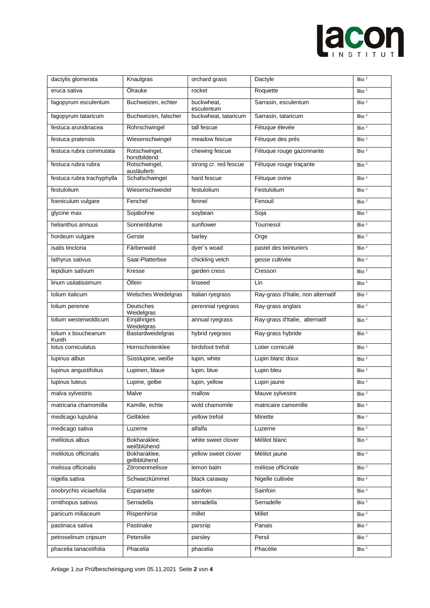# lacon

| dactylis glomerata          | Knaulgras                       | orchard grass                                    | Dactyle                            | Bio <sup>1</sup> |
|-----------------------------|---------------------------------|--------------------------------------------------|------------------------------------|------------------|
| eruca sativa                | Ölrauke                         | rocket<br>Roquette                               |                                    | Bio $1$          |
| fagopyrum esculentum        | Buchweizen, echter              | Sarrasin, esculentum<br>buckwheat,<br>esculentum |                                    | Bio <sup>1</sup> |
| fagopyrum tataricum         | Buchweizen, falscher            | buckwheat, tataricum<br>Sarrasin, tataricum      |                                    | Bio <sup>1</sup> |
| festuca arundinacea         | Rohrschwingel                   | tall fescue                                      | Fétuque élevée                     | Bio $1$          |
| festuca pratensis           | Wiesenschwingel                 | meadow fescue                                    | Fétuque des prés                   | Bio <sup>1</sup> |
| festuca rubra commutata     | Rotschwingel,<br>horstbildend   | chewing fescue                                   | Fétuque rouge gazonnante           | Bio <sup>1</sup> |
| festuca rubra rubra         | Rotschwingel,<br>ausläufertr.   | strong cr. red fescue                            | Fétuque rouge traçante             | Bio $1$          |
| festuca rubra trachyphylla  | Schafschwingel                  | hard fescue                                      | Fétuque ovine                      | Bio <sup>1</sup> |
| festulolium                 | Wiesenschweidel                 | festulolium                                      | Festulolium                        | Bio $1$          |
| foeniculum vulgare          | Fenchel                         | fennel                                           | Fenouil                            | Bio <sup>1</sup> |
| glycine max                 | Sojabohne                       | soybean                                          | Soja                               | Bio <sup>1</sup> |
| helianthus annuus           | Sonnenblume                     | sunflower                                        | Tournesol                          | Bio <sup>1</sup> |
| hordeum vulgare             | Gerste                          | barley                                           | Orge                               | Bio <sup>1</sup> |
| isatis tinctoria            | Färberwald                      | dyer's woad                                      | pastel des teinturiers             | Bio <sup>1</sup> |
| lathyrus sativus            | Saat-Platterbse                 | chickling vetch                                  | gesse cultivée                     | Bio $1$          |
| lepidium sativum            | Kresse                          | garden cress                                     | Cresson                            | Bio <sup>1</sup> |
| linum usitatissimum         | Öllein                          | linseed                                          | Lin                                | Bio $1$          |
| Iolium italicum             | Welsches Weidelgras             | Italian ryegrass                                 | Ray-grass d'Italie, non alternatif | Bio $1$          |
| Iolium perenne              | Deutsches<br>Weidelgras         | perennial ryegrass                               | Ray-grass anglais                  | Bio <sup>1</sup> |
|                             |                                 |                                                  |                                    |                  |
| Iolium westerwoldicum       | Einjähriges                     | annual ryegrass                                  | Ray-grass d'Italie, alternatif     | Bio $1$          |
| Iolium x boucheanum         | Weidelgras<br>Bastardweidelgras | hybrid ryegrass                                  | Ray-grass hybride                  | Bio $1$          |
| Kunth<br>lotus corniculatus | Hornschotenklee                 | birdsfoot trefoil                                | Lotier corniculé                   | Bio <sup>1</sup> |
| lupinus albus               | Süsslupine, weiße               | lupin, white                                     | Lupin blanc doux                   | Bio <sup>1</sup> |
| lupinus angustifolius       | Lupinen, blaue                  | lupin, blue                                      | Lupin bleu                         | Bio <sup>1</sup> |
| lupinus luteus              | Lupine, gelbe                   | lupin, yellow                                    | Lupin jaune                        | Bio <sup>1</sup> |
| malva sylvestris            | Malve                           | mallow                                           | Mauve sylvestre                    | Bio <sup>1</sup> |
| matricaria chamomilla       | Kamille, echte                  | wold chamomile                                   | matricaire camomille               | Bio $1$          |
| medicago lupulina           | Gelbklee                        | yellow trefoil                                   | Minette                            | Bio <sup>1</sup> |
| medicago sativa             | Luzerne                         | alfalfa                                          | Luzerne                            | Bio <sup>1</sup> |
| melilotus albus             | Bokharaklee,                    | white sweet clover                               | Mélilot blanc                      | Bio <sup>1</sup> |
| melilotus officinalis       | weißblühend<br>Bokharaklee,     | yellow sweet clover                              | Mélilot jaune                      | Bio <sup>1</sup> |
| melissa officinalis         | gelbblühend<br>Zitronenmelisse  | lemon balm                                       | mélisse officinale                 | Bio <sup>1</sup> |
| nigella sativa              | Schwarzkümmel                   | black caraway                                    | Nigelle cultivée                   | Bio <sup>1</sup> |
| onobrychis viciaefolia      | Esparsette                      | sainfoin                                         | Sainfoin                           | Bio <sup>1</sup> |
| ornithopus sativus          | Serradella                      | serradella                                       | Serradelle                         | Bio <sup>1</sup> |
| panicum miliaceum           | Rispenhirse                     | millet                                           | Millet                             | Bio <sup>1</sup> |
| pastinaca sativa            | Pastinake                       | parsnip                                          | Panais                             | Bio $1$          |
| petroselinum cripsum        | Petersilie                      | parsley                                          | Persil                             | Bio <sup>1</sup> |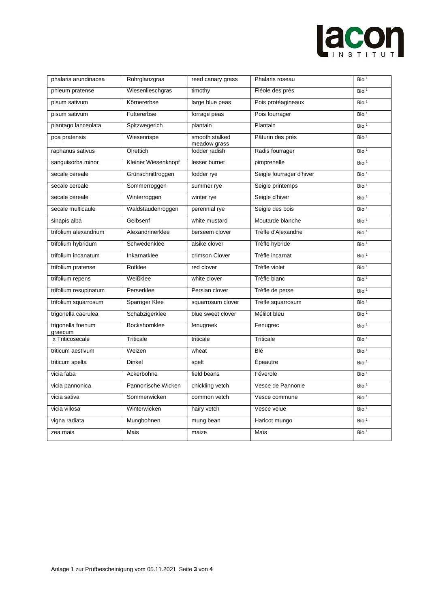## lacon

| phalaris arundinacea         | Rohrglanzgras       | reed canary grass              | Phalaris roseau          | Bio <sup>1</sup> |
|------------------------------|---------------------|--------------------------------|--------------------------|------------------|
| phleum pratense              | Wiesenlieschgras    | timothy                        | Fléole des prés          | Bio <sup>1</sup> |
| pisum sativum                | Körnererbse         | large blue peas                | Pois protéagineaux       | Bio <sup>1</sup> |
| pisum sativum                | Futtererbse         | forrage peas                   | Pois fourrager           | Bio <sup>1</sup> |
| plantago lanceolata          | Spitzwegerich       | plantain                       | Plantain                 | Bio <sup>1</sup> |
| poa pratensis                | Wiesenrispe         | smooth stalked<br>meadow grass | Pâturin des prés         | Bio <sup>1</sup> |
| raphanus sativus             | Ölrettich           | fodder radish                  | Radis fourrager          | Bio <sup>1</sup> |
| sanguisorba minor            | Kleiner Wiesenknopf | lesser burnet                  | pimprenelle              | Bio $1$          |
| secale cereale               | Grünschnittroggen   | fodder rye                     | Seigle fourrager d'hiver | Bio <sup>1</sup> |
| secale cereale               | Sommerroggen        | summer rye                     | Seigle printemps         | Bio <sup>1</sup> |
| secale cereale               | Winterroggen        | winter rye                     | Seigle d'hiver           | Bio <sup>1</sup> |
| secale multicaule            | Waldstaudenroggen   | perennial rye                  | Seigle des bois          | Bio <sup>1</sup> |
| sinapis alba                 | Gelbsenf            | white mustard                  | Moutarde blanche         | Bio <sup>1</sup> |
| trifolium alexandrium        | Alexandrinerklee    | berseem clover                 | Trèfle d'Alexandrie      | Bio <sup>1</sup> |
| trifolium hybridum           | Schwedenklee        | alsike clover                  | Trèfle hybride           | Bio <sup>1</sup> |
| trifolium incanatum          | Inkarnatklee        | crimson Clover                 | Trèfle incarnat          | Bio <sup>1</sup> |
| trifolium pratense           | Rotklee             | red clover                     | Trèfle violet            | Bio <sup>1</sup> |
| trifolium repens             | Weißklee            | white clover                   | Trèfle blanc             | Bio <sup>1</sup> |
| trifolium resupinatum        | Perserklee          | Persian clover                 | Trèfle de perse          | Bio <sup>1</sup> |
| trifolium squarrosum         | Sparriger Klee      | squarrosum clover              | Trèfle squarrosum        | Bio <sup>1</sup> |
| trigonella caerulea          | Schabzigerklee      | blue sweet clover              | Mélilot bleu             | Bio <sup>1</sup> |
| trigonella foenum<br>graecum | Bockshornklee       | fenugreek                      | Fenugrec                 | Bio <sup>1</sup> |
| x Triticosecale              | <b>Triticale</b>    | triticale                      | Triticale                | Bio <sup>1</sup> |
| triticum aestivum            | Weizen              | wheat                          | Blé                      | Bio <sup>1</sup> |
| triticum spelta              | Dinkel              | spelt                          | Épeautre                 | Bio <sup>1</sup> |
| vicia faba                   | Ackerbohne          | field beans                    | Féverole                 | Bio <sup>1</sup> |
| vicia pannonica              | Pannonische Wicken  | chickling vetch                | Vesce de Pannonie        | Bio <sup>1</sup> |
| vicia sativa                 | Sommerwicken        | common vetch                   | Vesce commune            | Bio <sup>1</sup> |
| vicia villosa                | Winterwicken        | hairy vetch                    | Vesce velue              | Bio <sup>1</sup> |
| vigna radiata                | Mungbohnen          | mung bean                      | Haricot mungo            | Bio <sup>1</sup> |
| zea mais                     | Mais                | maize                          | Maïs                     | Bio <sup>1</sup> |